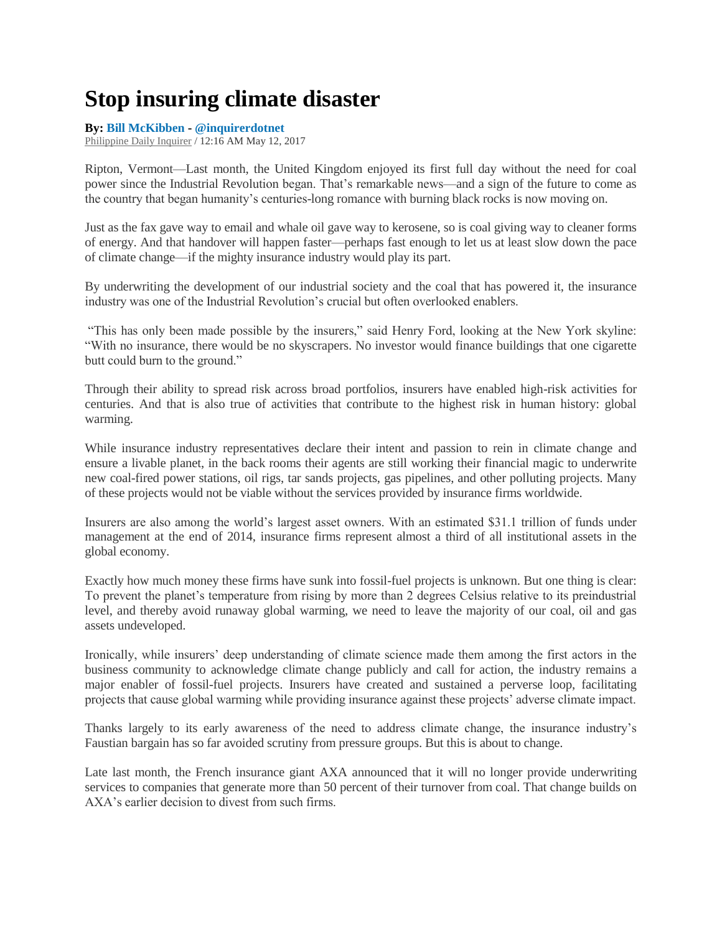## **Stop insuring climate disaster**

## **By: [Bill McKibben](http://opinion.inquirer.net/byline/bill-mckibben) - [@inquirerdotnet](http://www.twitter.com/@inquirerdotnet)**

[Philippine Daily Inquirer](http://opinion.inquirer.net/source/philippine-daily-inquirer) / 12:16 AM May 12, 2017

Ripton, Vermont—Last month, the United Kingdom enjoyed its first full day without the need for coal power since the Industrial Revolution began. That's remarkable news—and a sign of the future to come as the country that began humanity's centuries-long romance with burning black rocks is now moving on.

Just as the fax gave way to email and whale oil gave way to kerosene, so is coal giving way to cleaner forms of energy. And that handover will happen faster—perhaps fast enough to let us at least slow down the pace of climate change—if the mighty insurance industry would play its part.

By underwriting the development of our industrial society and the coal that has powered it, the insurance industry was one of the Industrial Revolution's crucial but often overlooked enablers.

"This has only been made possible by the insurers," said Henry Ford, looking at the New York skyline: "With no insurance, there would be no skyscrapers. No investor would finance buildings that one cigarette butt could burn to the ground."

Through their ability to spread risk across broad portfolios, insurers have enabled high-risk activities for centuries. And that is also true of activities that contribute to the highest risk in human history: global warming.

While insurance industry representatives declare their intent and passion to rein in climate change and ensure a livable planet, in the back rooms their agents are still working their financial magic to underwrite new coal-fired power stations, oil rigs, tar sands projects, gas pipelines, and other polluting projects. Many of these projects would not be viable without the services provided by insurance firms worldwide.

Insurers are also among the world's largest asset owners. With an estimated \$31.1 trillion of funds under management at the end of 2014, insurance firms represent almost a third of all institutional assets in the global economy.

Exactly how much money these firms have sunk into fossil-fuel projects is unknown. But one thing is clear: To prevent the planet's temperature from rising by more than 2 degrees Celsius relative to its preindustrial level, and thereby avoid runaway global warming, we need to leave the majority of our coal, oil and gas assets undeveloped.

Ironically, while insurers' deep understanding of climate science made them among the first actors in the business community to acknowledge climate change publicly and call for action, the industry remains a major enabler of fossil-fuel projects. Insurers have created and sustained a perverse loop, facilitating projects that cause global warming while providing insurance against these projects' adverse climate impact.

Thanks largely to its early awareness of the need to address climate change, the insurance industry's Faustian bargain has so far avoided scrutiny from pressure groups. But this is about to change.

Late last month, the French insurance giant AXA announced that it will no longer provide underwriting services to companies that generate more than 50 percent of their turnover from coal. That change builds on AXA's earlier decision to divest from such firms.